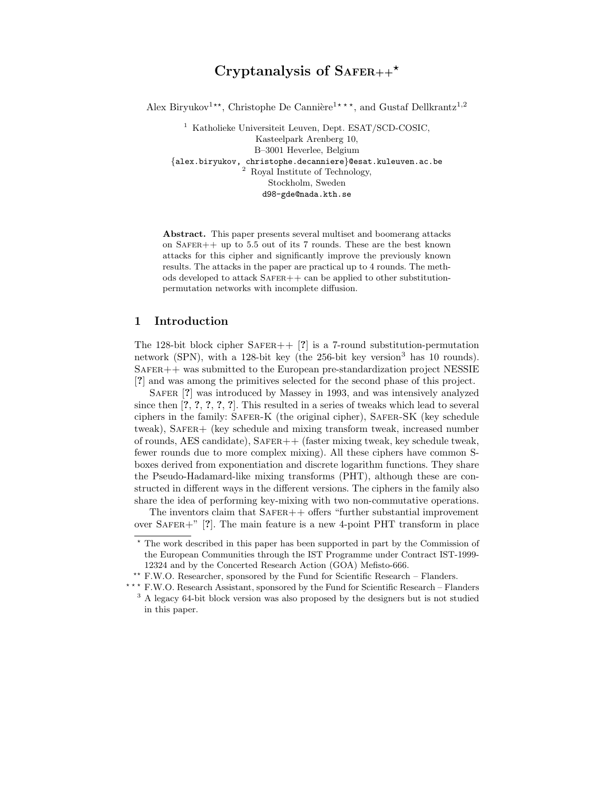# Cryptanalysis of  $S$ AFER++ $\star$

Alex Biryukov<sup>1\*\*</sup>, Christophe De Cannière<sup>1\*\*\*</sup>, and Gustaf Dellkrantz<sup>1,2</sup>

<sup>1</sup> Katholieke Universiteit Leuven, Dept. ESAT/SCD-COSIC, Kasteelpark Arenberg 10, B–3001 Heverlee, Belgium {alex.biryukov, christophe.decanniere}@esat.kuleuven.ac.be <sup>2</sup> Royal Institute of Technology, Stockholm, Sweden d98-gde@nada.kth.se

Abstract. This paper presents several multiset and boomerang attacks on  $SAFER++$  up to 5.5 out of its 7 rounds. These are the best known attacks for this cipher and significantly improve the previously known results. The attacks in the paper are practical up to 4 rounds. The methods developed to attack  $SAFER++$  can be applied to other substitutionpermutation networks with incomplete diffusion.

## 1 Introduction

The 128-bit block cipher  $SAFER++$  [?] is a 7-round substitution-permutation network (SPN), with a 128-bit key (the  $256$ -bit key version<sup>3</sup> has 10 rounds).  $S$ AFER  $++$  was submitted to the European pre-standardization project NESSIE [?] and was among the primitives selected for the second phase of this project.

SAFER [?] was introduced by Massey in 1993, and was intensively analyzed since then [?, ?, ?, ?, ?]. This resulted in a series of tweaks which lead to several ciphers in the family: SAFER-K (the original cipher), SAFER-SK (key schedule tweak), SAFER+ (key schedule and mixing transform tweak, increased number of rounds, AES candidate),  $SAFER++$  (faster mixing tweak, key schedule tweak, fewer rounds due to more complex mixing). All these ciphers have common Sboxes derived from exponentiation and discrete logarithm functions. They share the Pseudo-Hadamard-like mixing transforms (PHT), although these are constructed in different ways in the different versions. The ciphers in the family also share the idea of performing key-mixing with two non-commutative operations.

The inventors claim that  $SAFER++$  offers "further substantial improvement" over  $SAFER+$ " [?]. The main feature is a new 4-point PHT transform in place

\*\* F.W.O. Researcher, sponsored by the Fund for Scientific Research – Flanders.

 $^\star$  The work described in this paper has been supported in part by the Commission of the European Communities through the IST Programme under Contract IST-1999- 12324 and by the Concerted Research Action (GOA) Mefisto-666.

<sup>\*\*\*</sup> F.W.O. Research Assistant, sponsored by the Fund for Scientific Research – Flanders <sup>3</sup> A legacy 64-bit block version was also proposed by the designers but is not studied in this paper.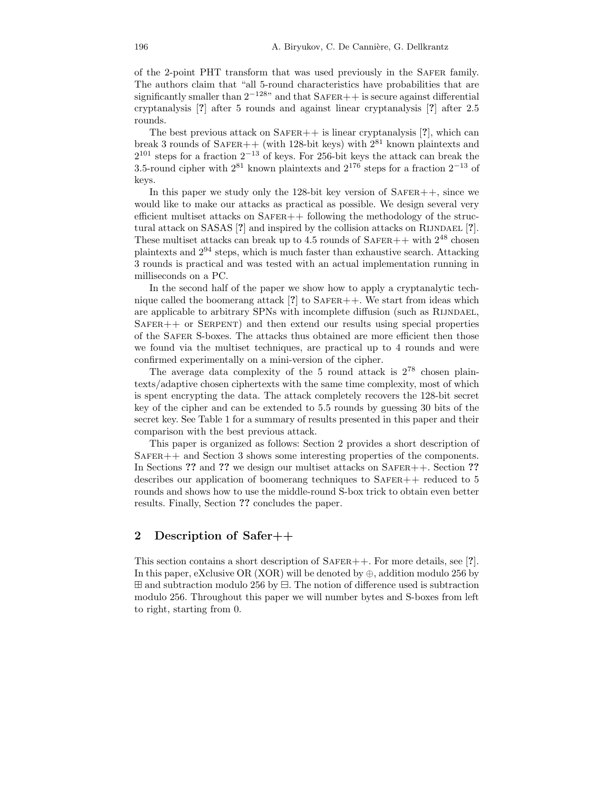of the 2-point PHT transform that was used previously in the Safer family. The authors claim that "all 5-round characteristics have probabilities that are significantly smaller than  $2^{-128}$ " and that SAFER++ is secure against differential cryptanalysis [?] after 5 rounds and against linear cryptanalysis [?] after 2.5 rounds.

The best previous attack on  $SAFER++$  is linear cryptanalysis  $[?]$ , which can break 3 rounds of  $S$ AFER++ (with 128-bit keys) with  $2^{81}$  known plaintexts and  $2^{101}$  steps for a fraction  $2^{-13}$  of keys. For 256-bit keys the attack can break the 3.5-round cipher with  $2^{81}$  known plaintexts and  $2^{176}$  steps for a fraction  $2^{-13}$  of keys.

In this paper we study only the 128-bit key version of  $SAFER++$ , since we would like to make our attacks as practical as possible. We design several very efficient multiset attacks on  $SAFER++$  following the methodology of the structural attack on  $SASAS$   $[?]$  and inspired by the collision attacks on RIJNDAEL  $[?]$ . These multiset attacks can break up to 4.5 rounds of SAFER++ with  $2^{48}$  chosen plaintexts and 2 <sup>94</sup> steps, which is much faster than exhaustive search. Attacking 3 rounds is practical and was tested with an actual implementation running in milliseconds on a PC.

In the second half of the paper we show how to apply a cryptanalytic technique called the boomerang attack  $[?]$  to SAFER++. We start from ideas which are applicable to arbitrary SPNs with incomplete diffusion (such as RIJNDAEL,  $SAFER++$  or  $SERPENT$ ) and then extend our results using special properties of the Safer S-boxes. The attacks thus obtained are more efficient then those we found via the multiset techniques, are practical up to 4 rounds and were confirmed experimentally on a mini-version of the cipher.

The average data complexity of the 5 round attack is  $2^{78}$  chosen plaintexts/adaptive chosen ciphertexts with the same time complexity, most of which is spent encrypting the data. The attack completely recovers the 128-bit secret key of the cipher and can be extended to 5.5 rounds by guessing 30 bits of the secret key. See Table 1 for a summary of results presented in this paper and their comparison with the best previous attack.

This paper is organized as follows: Section 2 provides a short description of  $S$ AFER $++$  and Section 3 shows some interesting properties of the components. In Sections ?? and ?? we design our multiset attacks on SAFER++. Section ?? describes our application of boomerang techniques to  $SAFER++$  reduced to 5 rounds and shows how to use the middle-round S-box trick to obtain even better results. Finally, Section ?? concludes the paper.

### 2 Description of Safer++

This section contains a short description of  $SAFER++$ . For more details, see [?]. In this paper, eXclusive OR (XOR) will be denoted by  $\oplus$ , addition modulo 256 by  $\boxplus$  and subtraction modulo 256 by  $\boxminus$ . The notion of difference used is subtraction modulo 256. Throughout this paper we will number bytes and S-boxes from left to right, starting from 0.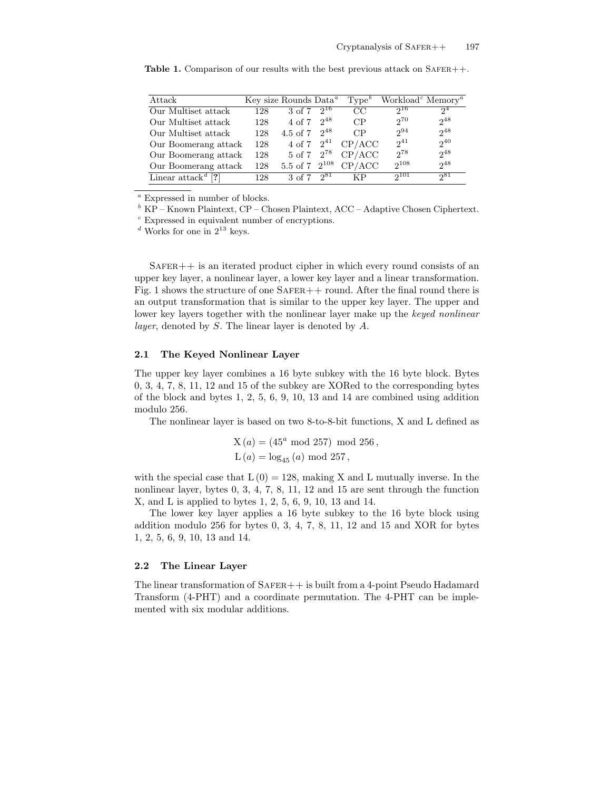| Attack                              |     | Key size Rounds Data <sup>a</sup> |          | Type <sup>b</sup> | Workload <sup>c</sup> Memory <sup><i>a</i></sup> |          |
|-------------------------------------|-----|-----------------------------------|----------|-------------------|--------------------------------------------------|----------|
| Our Multiset attack                 | 128 | 3 of 7                            | $2^{16}$ | CC                | $2^{16}$                                         | $2^4$    |
| Our Multiset attack                 | 128 | 4 of 7                            | $2^{48}$ | CP                | $2^{70}$                                         | $2^{48}$ |
| Our Multiset attack                 | 128 | 4.5 of 7 $2^{48}$                 |          | CP                | $2^{94}$                                         | $2^{48}$ |
| Our Boomerang attack                | 128 | 4 of 7 $2^{41}$                   |          | CP/ACC            | $2^{41}$                                         | $2^{40}$ |
| Our Boomerang attack                | 128 | $5 \text{ of } 7 \text{ } 2^{78}$ |          | CP/ACC            | 278                                              | $2^{48}$ |
| Our Boomerang attack                | 128 | 5.5 of 7 $2^{108}$                |          | CP/ACC            | $2^{108}$                                        | $2^{48}$ |
| Linear $\text{attack}^{\textit{a}}$ | 128 | $3 \text{ of } 7$                 | $2^{81}$ | ΚP                | $2^{101}$                                        | 281      |

**Table 1.** Comparison of our results with the best previous attack on  $SAFER++$ .

 $a$  Expressed in number of blocks.

 $b K$ P – Known Plaintext, CP – Chosen Plaintext, ACC – Adaptive Chosen Ciphertext.

<sup>c</sup> Expressed in equivalent number of encryptions.

 $\real^d$  Works for one in  $2^{13}$  keys.

 $S$ AFER $++$  is an iterated product cipher in which every round consists of an upper key layer, a nonlinear layer, a lower key layer and a linear transformation. Fig. 1 shows the structure of one  $SAFER++$  round. After the final round there is an output transformation that is similar to the upper key layer. The upper and lower key layers together with the nonlinear layer make up the keyed nonlinear layer, denoted by S. The linear layer is denoted by A.

#### 2.1 The Keyed Nonlinear Layer

The upper key layer combines a 16 byte subkey with the 16 byte block. Bytes 0, 3, 4, 7, 8, 11, 12 and 15 of the subkey are XORed to the corresponding bytes of the block and bytes  $1, 2, 5, 6, 9, 10, 13$  and  $14$  are combined using addition modulo 256.

The nonlinear layer is based on two 8-to-8-bit functions, X and L defined as

$$
\begin{split} \text{X}\left(a\right) &= \left(45^a \text{ mod } 257\right) \text{ mod } 256\,,\\ \text{L}\left(a\right) &= \log_{45}\left(a\right) \text{ mod } 257\,, \end{split}
$$

with the special case that  $L(0) = 128$ , making X and L mutually inverse. In the nonlinear layer, bytes 0, 3, 4, 7, 8, 11, 12 and 15 are sent through the function X, and L is applied to bytes 1, 2, 5, 6, 9, 10, 13 and 14.

The lower key layer applies a 16 byte subkey to the 16 byte block using addition modulo 256 for bytes 0, 3, 4, 7, 8, 11, 12 and 15 and XOR for bytes 1, 2, 5, 6, 9, 10, 13 and 14.

#### 2.2 The Linear Layer

The linear transformation of  $SAFER++$  is built from a 4-point Pseudo Hadamard Transform (4-PHT) and a coordinate permutation. The 4-PHT can be implemented with six modular additions.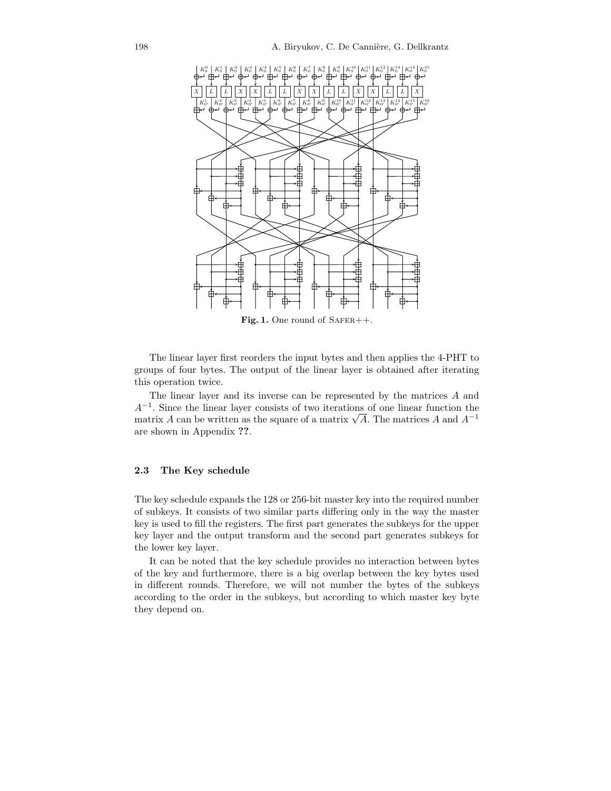

Fig. 1. One round of  $S$ AFER++.

The linear layer first reorders the input bytes and then applies the 4-PHT to groups of four bytes. The output of the linear layer is obtained after iterating this operation twice.

The linear layer and its inverse can be represented by the matrices A and A<sup>−</sup><sup>1</sup> . Since the linear layer consists of two iterations of one linear function the matrix A can be written as the square of a matrix  $\sqrt{A}$ . The matrices A and  $A^{-1}$ are shown in Appendix ??.

#### 2.3 The Key schedule

The key schedule expands the 128 or 256-bit master key into the required number of subkeys. It consists of two similar parts differing only in the way the master key is used to fill the registers. The first part generates the subkeys for the upper key layer and the output transform and the second part generates subkeys for the lower key layer.

It can be noted that the key schedule provides no interaction between bytes of the key and furthermore, there is a big overlap between the key bytes used in different rounds. Therefore, we will not number the bytes of the subkeys according to the order in the subkeys, but according to which master key byte they depend on.